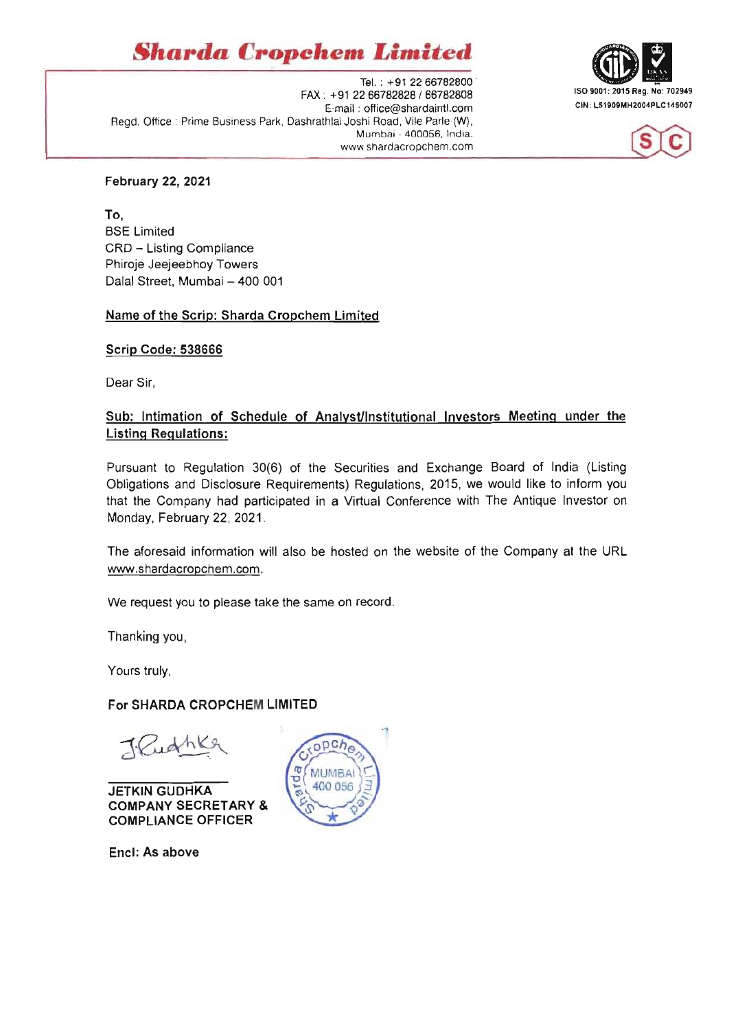# $Sharda$  *Cropchem Limited*

Tel. : +91 22 66782800<br>FAX: +91 22 66782828 / 66782808 . ISO 9001: 2015 Reg. No: 702949<br>F. mail : office@eberdeintl.com . CIN: L51909MH2004PLC145007 E-mail: office@shardaintl.com Regd. Office : Prime Business Park, Dashrathlal Joshi Road, Vile Parle (W), Mumbai - 400056, India. www.shardacropchem.com





#### February 22, 2021

To, BSE Limited CRD - Listing Compliance Phiroje Jeejeebhoy Towers Dalal Street, Mumbai - 400 001

#### Name of the Scrip: Sharda Cropchem Limited

Scrip Code: 538666

Dear Sir,

## Sub: Intimation of Schedule of Analyst/Institutional Investors Meeting under the Listing Regulations:

Pursuant to Regulation 30(6) of the Securities and Exchange Board of India (Listing Obligations and Disclosure Requirements) Regulations, 2015, we would like to inform you that the Company had participated in a Virtual Conference with The Antique Investor on Monday, February 22, 2021 .

The aforesaid information will also be hosted on the website of the Company at the URL www.shardacropchem.com.

We request you to please take the same on record.

Thanking you,

Yours truly,

## For SHARDA CROPCHEM LIMITED

T. Quathke

JETKIN GUDHKA COMPANY SECRETARY & COMPLIANCE OFFICER

Encl: As above